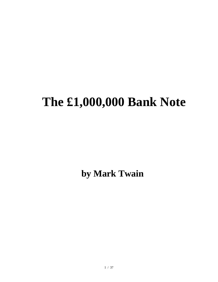# **The £1,000,000 Bank Note**

**by Mark Twain**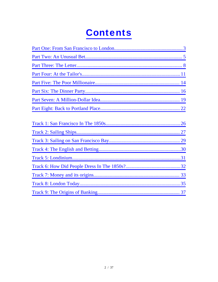# **Contents**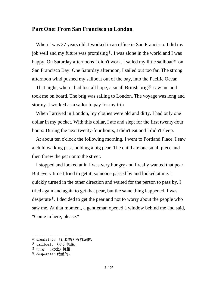#### <span id="page-2-0"></span>**Part One: From San Francisco to London**

When I was 27 years old, I worked in an office in San Francisco. I did my job well and my future was promising<sup>①</sup>. I was alone in the world and I was happy. On Saturday afternoons I didn't work. I sailed my little sailboat<sup>2</sup> on San Francisco Bay. One Saturday afternoon, I sailed out too far. The strong afternoon wind pushed my sailboat out of the bay, into the Pacific Ocean.

That night, when I had lost all hope, a small British brig<sup> $\circled{3}$ </sup> saw me and took me on board. The brig was sailing to London. The voyage was long and stormy. I worked as a sailor to pay for my trip.

When I arrived in London, my clothes were old and dirty. I had only one dollar in my pocket. With this dollar, I ate and slept for the first twenty-four hours. During the next twenty-four hours, I didn't eat and I didn't sleep.

At about ten o'clock the following morning, I went to Portland Place. I saw a child walking past, holding a big pear. The child ate one small piece and then threw the pear onto the street.

I stopped and looked at it. I was very hungry and I really wanted that pear. But every time I tried to get it, someone passed by and looked at me. I quickly turned in the other direction and waited for the person to pass by. I tried again and again to get that pear, but the same thing happened. I was desperate<sup> $@$ </sup>. I decided to get the pear and not to worry about the people who saw me. At that moment, a gentleman opened a window behind me and said, "Come in here, please."

<sup>①</sup> promising: (此处指)有前途的。

<sup>&</sup>lt;sup>2</sup> sailboat: (小)帆船。

 $@brie:$  (双桅)帆船。

<sup>④</sup> desperate: 绝望的。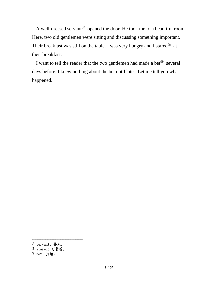A well-dressed servant<sup>①</sup> opened the door. He took me to a beautiful room. Here, two old gentlemen were sitting and discussing something important. Their breakfast was still on the table. I was very hungry and I stared<sup>2</sup> at their breakfast.

I want to tell the reader that the two gentlemen had made a bet<sup>③</sup> several days before. I knew nothing about the bet until later. Let me tell you what happened.

<sup>①</sup> servant: 仆人。

<sup>②</sup> stared: 盯着看。

<sup>③</sup> bet: 打赌。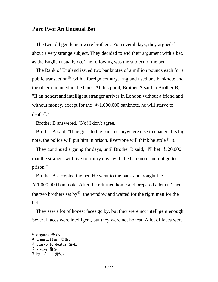#### <span id="page-4-0"></span>**Part Two: An Unusual Bet**

The two old gentlemen were brothers. For several days, they argued<sup>①</sup> about a very strange subject. They decided to end their argument with a bet, as the English usually do. The following was the subject of the bet.

The Bank of England issued two banknotes of a million pounds each for a public transaction<sup>②</sup> with a foreign country. England used one banknote and the other remained in the bank. At this point, Brother A said to Brother B, "If an honest and intelligent stranger arrives in London without a friend and without money, except for the  $\& 1,000,000$  banknote, he will starve to  $death^{\circledR}$ ."

Brother B answered, "No! I don't agree."

Brother A said, "If he goes to the bank or anywhere else to change this big note, the police will put him in prison. Everyone will think he stole $\mathcal{F}$  it."

They continued arguing for days, until Brother B said, "I'll bet  $\& 20,000$ that the stranger will live for thirty days with the banknote and not go to prison."

Brother A accepted the bet. He went to the bank and bought the £1,000,000 banknote. After, he returned home and prepared a letter. Then the two brothers sat by<sup> $\odot$ </sup> the window and waited for the right man for the bet.

They saw a lot of honest faces go by, but they were not intelligent enough. Several faces were intelligent, but they were not honest. A lot of faces were

<sup>①</sup> argued:争论。

<sup>②</sup> transaction:交易。

<sup>&</sup>lt;sup>3</sup> starve to death:饿死。

<sup>④</sup> stole:偷窃。

<sup>⑤</sup> by:在……旁边。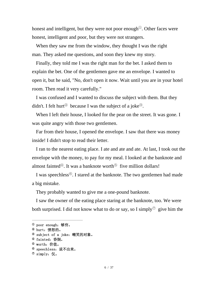honest and intelligent, but they were not poor enough<sup> $\odot$ </sup>. Other faces were honest, intelligent and poor, but they were not strangers.

When they saw me from the window, they thought I was the right man. They asked me questions, and soon they knew my story.

Finally, they told me I was the right man for the bet. I asked them to explain the bet. One of the gentlemen gave me an envelope. I wanted to open it, but he said, "No, don't open it now. Wait until you are in your hotel room. Then read it very carefully."

I was confused and I wanted to discuss the subject with them. But they didn't. I felt hurt<sup>2</sup> because I was the subject of a joke<sup>3</sup>.

When I left their house, I looked for the pear on the street. It was gone. I was quite angry with those two gentlemen.

Far from their house, I opened the envelope. I saw that there was money inside! I didn't stop to read their letter.

I ran to the nearest eating place. I ate and ate and ate. At last, I took out the envelope with the money, to pay for my meal. I looked at the banknote and almost fainted<sup> $)$ </sup>. It was a banknote worth<sup> $)$ </sup> five million dollars!

I was speechless<sup>⑥</sup>. I stared at the banknote. The two gentlemen had made a big mistake.

They probably wanted to give me a one-pound banknote.

I saw the owner of the eating place staring at the banknote, too. We were both surprised. I did not know what to do or say, so I simply<sup> $\circled{v}$ </sup> give him the

<sup>①</sup> poor enough:够穷。

<sup>②</sup> hurt:愤怒的。

<sup>&</sup>lt;sup>3</sup> subject of a joke: 嘲笑的对象。

<sup>&</sup>lt;sup>4</sup> fainted: 昏倒。

<sup>&</sup>lt;sup>⑤</sup> worth: 价值。

<sup>&</sup>lt;sup>6</sup> speechless: 说不出来。

 $^\circledR$  simply: 仅。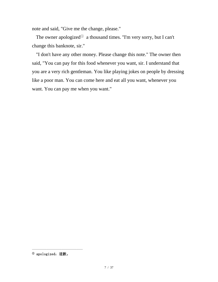note and said, "Give me the change, please."

The owner apologized $\mathbb{O}$  a thousand times. "I'm very sorry, but I can't change this banknote, sir."

"I don't have any other money. Please change this note." The owner then said, "You can pay for this food whenever you want, sir. I understand that you are a very rich gentleman. You like playing jokes on people by dressing like a poor man. You can come here and eat all you want, whenever you want. You can pay me when you want."

<sup>①</sup> apologized:道歉。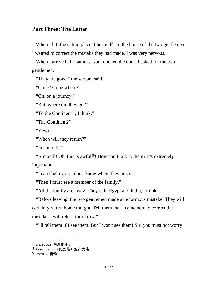# <span id="page-7-0"></span>**Part Three: The Letter**

When I left the eating place, I hurried $\mathbb{O}$  to the house of the two gentlemen. I wanted to correct the mistake they had made. I was very nervous.

When I arrived, the same servant opened the door. I asked for the two gentlemen.

"They are gone," the servant said.

"Gone? Gone where?"

"Oh, on a journey."

"But, where did they go?"

"To the Continent<sup>②</sup>, I think."

"The Continent?"

"Yes, sir."

```
"When will they return?"
```
"In a month."

"A month! Oh, this is awful<sup>3</sup>! How can I talk to them? It's extremely important."

"I can't help you. I don't know where they are, sir."

"Then I must see a member of the family."

"All the family are away. They're in Egypt and India, I think."

"Before leaving, the two gentlemen made an enormous mistake. They will certainly return home tonight. Tell them that I came here to correct the mistake. I will return tomorrow."

"I'll tell them if I see them. But I won't see them! Sir, you must not worry

<sup>&</sup>lt;sup>①</sup> hurried: 快速地走。

<sup>②</sup> Continent:(此处指)亚洲大陆。

 $^{\circledR}$  awful: 糟糕。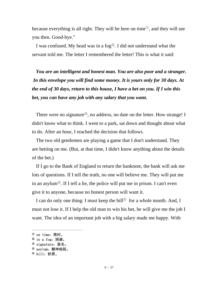because everything is all right. They will be here on time<sup>①</sup>, and they will see you then. Good-bye."

I was confused. My head was in a  $f_0$ <sup> $\odot$ </sup>. I did not understand what the servant told me. The letter I remembered the letter! This is what it said:

*You are an intelligent and honest man. You are also poor and a stranger. In this envelope you will find some money. It is yours only for 30 days. At the end of 30 days, return to this house, I have a bet on you. If I win this bet, you can have any job with any salary that you want.*

There were no signature<sup>3</sup>, no address, no date on the letter. How strange! I didn't know what to think. I went to a park, sat down and thought about what to do. After an hour, I reached the decision that follows.

The two old gentlemen are playing a game that I don't understand. They are betting on me. (But, at that time, I didn't know anything about the details of the bet.)

If I go to the Bank of England to return the banknote, the bank will ask me lots of questions. If I tell the truth, no one will believe me. They will put me in an asylum<sup> $\Phi$ </sup>. If I tell a lie, the police will put me in prison. I can't even give it to anyone, because no honest person will want it.

I can do only one thing: I must keep the bill<sup> $\odot$ </sup> for a whole month. And, I must not lose it. If I help the old man to win his bet, he will give me the job I want. The idea of an important job with a big salary made me happy. With

<sup>①</sup> on time:准时。

 $^{\circledR}$  in a fog: 困惑。

<sup>③</sup> signature:签名。

<sup>④</sup> asylum:精神病院。

 $^{\circledR}$  bill: 钞票。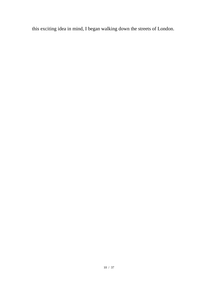this exciting idea in mind, I began walking down the streets of London.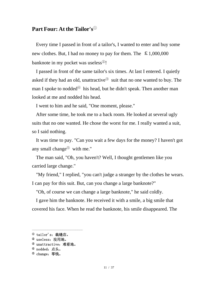# <span id="page-10-0"></span>**Part Four: At the Tailor's**<sup>①</sup>

Every time I passed in front of a tailor's, I wanted to enter and buy some new clothes. But, I had no money to pay for them. The  $\& 1,000,000$ banknote in my pocket was useless<sup>②</sup>!

I passed in front of the same tailor's six times. At last I entered. I quietly asked if they had an old, unattractive<sup>3</sup> suit that no one wanted to buy. The man I spoke to nodded $\Phi$  his head, but he didn't speak. Then another man looked at me and nodded his head.

I went to him and he said, "One moment, please."

After some time, he took me to a back room. He looked at several ugly suits that no one wanted. He chose the worst for me. I really wanted a suit, so I said nothing.

It was time to pay. "Can you wait a few days for the money? I haven't got any small change<sup> $\odot$ </sup> with me."

The man said, "Oh, you haven't? Well, I thought gentlemen like you carried large change."

"My friend," I replied, "you can't judge a stranger by the clothes he wears. I can pay for this suit. But, can you change a large banknote?"

"Oh, of course we can change a large banknote," he said coldly.

I gave him the banknote. He received it with a smile, a big smile that covered his face. When he read the banknote, his smile disappeared. The

<sup>①</sup> tailor's:裁缝店。

<sup>&</sup>lt;sup>2</sup> useless: 没用地。

<sup>③</sup> unattractive:难看地。

<sup>④</sup> nodded:点头。

 $^{\circledR}$  change: 零钱。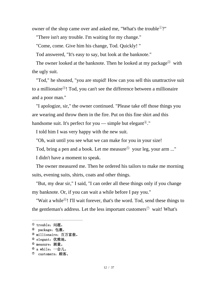owner of the shop came over and asked me, "What's the trouble<sup> $(1)$ </sup>?"

"There isn't any trouble. I'm waiting for my change."

"Come, come. Give him his change, Tod. Quickly! "

Tod answered, "It's easy to say, but look at the banknote."

The owner looked at the banknote. Then he looked at my package<sup> $\circled{2}$ </sup> with the ugly suit.

"Tod," he shouted, "you are stupid! How can you sell this unattractive suit to a millionaire<sup>③</sup>! Tod, you can't see the difference between a millionaire and a poor man."

"I apologize, sir," the owner continued. "Please take off those things you are wearing and throw them in the fire. Put on this fine shirt and this handsome suit. It's perfect for you — simple but elegant<sup> $\Phi$ </sup>."

I told him I was very happy with the new suit.

"Oh, wait until you see what we can make for you in your size!

Tod, bring a pen and a book. Let me measure<sup>⑤</sup> your leg, your arm ..."

I didn't have a moment to speak.

The owner measured me. Then he ordered his tailors to make me morning suits, evening suits, shirts, coats and other things.

"But, my dear sir," I said, "I can order all these things only if you change my banknote. Or, if you can wait a while before I pay you."

"Wait a while<sup>*®*</sup>! I'll wait forever, that's the word. Tod, send these things to the gentleman's address. Let the less important customers<sup> $\circled{v}$ </sup> wait! What's

 $^{\textcircled{\tiny{1}}}$  trouble: 问题。

<sup>&</sup>lt;sup>2</sup> package: 包裹。

<sup>&</sup>lt;sup>③</sup> millionaire: 百万富翁。

<sup>④</sup> elegant:优雅地。

<sup>⑤</sup> measure:测量。

 $^{\circledR}$  a while: 一会儿。

<sup>⑦</sup> customers:顾客。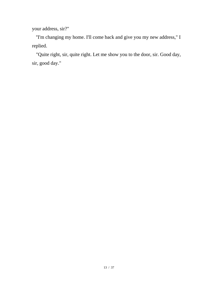your address, sir?"

''I'm changing my home. I'll come back and give you my new address," I replied.

"Quite right, sir, quite right. Let me show you to the door, sir. Good day, sir, good day."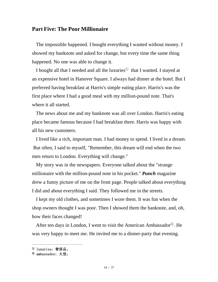#### <span id="page-13-0"></span>**Part Five: The Poor Millionaire**

The impossible happened. I bought everything I wanted without money. I showed my banknote and asked for change, but every time the same thing happened. No one was able to change it.

I bought all that I needed and all the luxuries<sup>①</sup> that I wanted. I stayed at an expensive hotel in Hanover Square. I always had dinner at the hotel. But I preferred having breakfast at Harris's simple eating place. Harris's was the first place where I had a good meal with my million-pound note. That's where it all started.

The news about me and my banknote was all over London. Harris's eating place became famous because I had breakfast there. Harris was happy with all his new customers.

I lived like a rich, important man. I had money to spend. I lived in a dream. But often, I said to myself, "Remember, this dream will end when the two men return to London. Everything will change."

My story was in the newspapers. Everyone talked about the "strange millionaire with the million-pound note in his pocket." *Punch* magazine drew a funny picture of me on the front page. People talked about everything I did and about everything I said. They followed me in the streets.

I kept my old clothes, and sometimes I wore them. It was fun when the shop owners thought I was poor. Then I showed them the banknote, and, oh, how their faces changed!

After ten days in London, I went to visit the American Ambassador<sup>②</sup>. He was very happy to meet me. He invited me to a dinner-party that evening.

<sup>①</sup> luxuries:奢侈品。

<sup>②</sup> ambassador:大使。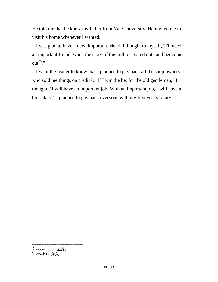He told me that he knew my father from Yale University. He invited me to visit his home whenever I wanted.

I was glad to have a new, important friend. I thought to myself, "I'll need an important friend, when the story of the million-pound note and bet comes out<sup>①</sup>."

I want the reader to know that I planned to pay back all the shop owners who sold me things on credit<sup>2</sup>. "If I win the bet for the old gentleman," I thought, "I will have an important job. With an important job, I will have a big salary." I planned to pay back everyone with my first year's salary.

<sup>①</sup> comes out:显露。

<sup>&</sup>lt;sup>2</sup> credit: 赊欠。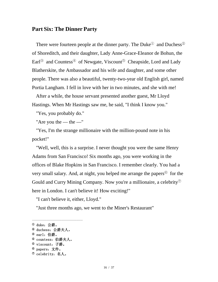#### <span id="page-15-0"></span>**Part Six: The Dinner Party**

There were fourteen people at the dinner party. The Duke<sup> $\odot$ </sup> and Duchess<sup> $\odot$ </sup> of Shoreditch, and their daughter, Lady Anne-Grace-Eleanor de Bohun, the Earl<sup>®</sup> and Countess<sup>®</sup> of Newgate, Viscount<sup>®</sup> Cheapside, Lord and Lady Blatherskite, the Ambassador and his wife and daughter, and some other people. There was also a beautiful, twenty-two-year old English girl, named Portia Langham. I fell in love with her in two minutes, and she with me!

After a while, the house servant presented another guest, Mr Lloyd Hastings. When Mr Hastings saw me, he said, "I think I know you."

"Yes, you probably do."

"Are you the — the  $-$ "

"Yes, I'm the strange millionaire with the million-pound note in his pocket!"

"Well, well, this is a surprise. I never thought you were the same Henry Adams from San Francisco! Six months ago, you were working in the offices of Blake Hopkins in San Francisco. I remember clearly. You had a very small salary. And, at night, you helped me arrange the papers<sup> $\circled{6}$ </sup> for the Gould and Curry Mining Company. Now you're a millionaire, a celebrity<sup> $\circled{2}$ </sup> here in London. I can't believe it! How exciting!"

"I can't believe it, either, Lloyd."

"Just three months ago, we went to the Miner's Restaurant"

 $^{\text{\textregistered}}$  duke: 公爵。

<sup>②</sup> duchess:公爵夫人。

<sup>③</sup> earl:伯爵。

<sup>④</sup> countess:伯爵夫人。

<sup>⑤</sup> viscount:子爵。

<sup>⑥</sup> papers:文件。

<sup>⑦</sup> celebrity:名人。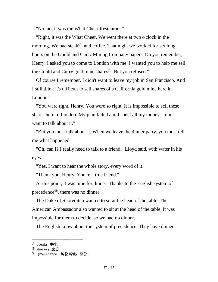"No, no, it was the What Cheer Restaurant."

"Right, it was the What Cheer. We went there at two o'clock in the morning. We had steak<sup> $\odot$ </sup> and coffee. That night we worked for six long hours on the Gould and Curry Mining Company papers. Do you remember, Henry, I asked you to come to London with me. I wanted you to help me sell the Gould and Curry gold mine shares<sup>②</sup>. But you refused."

Of course I remember. I didn't want to leave my job in San Francisco. And I still think it's difficult to sell shares of a California gold mine here in London."

"You were right, Henry. You were so right. It is impossible to sell these shares here in London. My plan failed and I spent all my money. I don't want to talk about it."

"But you must talk about it. When we leave the dinner party, you must tell me what happened."

"Oh, can I? I really need to talk to a friend," Lloyd said, with water in his eyes.

"Yes, I want to hear the whole story, every word of it."

"Thank you, Henry. You're a true friend."

At this point, it was time for dinner. Thanks to the English system of precedence<sup>③</sup>, there was no dinner.

The Duke of Shoreditch wanted to sit at the head of the table. The American Ambassador also wanted to sit at the head of the table. It was impossible for them to decide, so we had no dinner.

The English know about the system of precedence. They have dinner

 $^{\textcircled{\tiny{1}}}\,$  steak: 牛排。

<sup>②</sup> shares:股份。

precedence: 地位高低, 身份。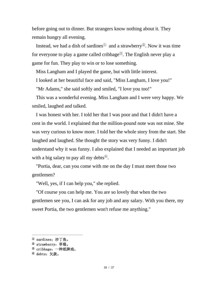before going out to dinner. But strangers know nothing about it. They remain hungry all evening.

Instead, we had a dish of sardines<sup> $\odot$ </sup> and a strawberry<sup> $\odot$ </sup>. Now it was time for everyone to play a game called cribbage<sup>3</sup>. The English never play a game for fun. They play to win or to lose something.

Miss Langham and I played the game, but with little interest.

I looked at her beautiful face and said, "Miss Langham, I love you!"

"Mr Adams," she said softly and smiled, "I love you too!"

This was a wonderful evening. Miss Langham and I were very happy. We smiled, laughed and talked.

I was honest with her. I told her that I was poor and that I didn't have a cent in the world. I explained that the million-pound note was not mine. She was very curious to know more. I told her the whole story from the start. She laughed and laughed. She thought the story was very funny. I didn't understand why it was funny. I also explained that I needed an important job with a big salary to pay all my debts $\Phi$ .

"Portia, dear, can you come with me on the day I must meet those two gentlemen?

"Well, yes, if I can help you," she replied.

"Of course you can help me. You are so lovely that when the two gentlemen see you, I can ask for any job and any salary. With you there, my sweet Portia, the two gentlemen won't refuse me anything."

<sup>①</sup> sardines:沙丁鱼。

<sup>②</sup> strawberry:草莓。

<sup>③</sup> cribbage:一种纸牌戏。

<sup>④</sup> debts:欠款。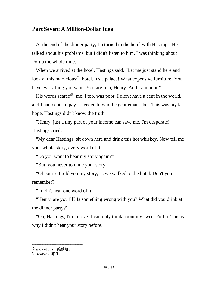#### <span id="page-18-0"></span>**Part Seven: A Million-Dollar Idea**

At the end of the dinner party, I returned to the hotel with Hastings. He talked about his problems, but I didn't listen to him. I was thinking about Portia the whole time.

When we arrived at the hotel, Hastings said, "Let me just stand here and look at this marvelous<sup>①</sup> hotel. It's a palace! What expensive furniture! You have everything you want. You are rich, Henry. And I am poor."

His words scared<sup> $\circledcirc$ </sup> me. I too, was poor. I didn't have a cent in the world, and I had debts to pay. I needed to win the gentleman's bet. This was my last hope. Hastings didn't know the truth.

"Henry, just a tiny part of your income can save me. I'm desperate!" Hastings cried.

"My dear Hastings, sit down here and drink this hot whiskey. Now tell me your whole story, every word of it."

"Do you want to hear my story again?"

"But, you never told me your story."

"Of course I told you my story, as we walked to the hotel. Don't you remember?"

"I didn't hear one word of it."

"Henry, are you ill? Is something wrong with you? What did you drink at the dinner party?"

"Oh, Hastings, I'm in love! I can only think about my sweet Portia. This is why I didn't hear your story before."

<sup>①</sup> marvelous:绝妙地。

 $<sup>②</sup>$  scared: 吓住。</sup>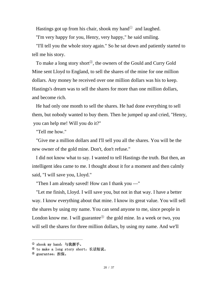Hastings got up from his chair, shook my hand  $\Phi$  and laughed.

''I'm very happy for you, Henry, very happy," he said smiling.

"I'll tell you the whole story again." So he sat down and patiently started to tell me his story.

To make a long story short<sup>②</sup>, the owners of the Gould and Curry Gold Mine sent Lloyd to England, to sell the shares of the mine for one million dollars. Any money he received over one million dollars was his to keep. Hastings's dream was to sell the shares for more than one million dollars, and become rich.

He had only one month to sell the shares. He had done everything to sell them, but nobody wanted to buy them. Then he jumped up and cried, "Henry, you can help me! Will you do it?"

"Tell me how."

"Give me a million dollars and I'll sell you all the shares. You will be the new owner of the gold mine. Don't, don't refuse."

I did not know what to say. I wanted to tell Hastings the truth. But then, an intelligent idea came to me. I thought about it for a moment and then calmly said, "I will save you, Lloyd."

"Then I am already saved! How can I thank you —"

"Let me finish, Lloyd. I will save you, but not in that way. I have a better way. I know everything about that mine. I know its great value. You will sell the shares by using my name. You can send anyone to me, since people in London know me. I will guarantee<sup>3</sup> the gold mine. In a week or two, you will sell the shares for three million dollars, by using my name. And we'll

 $^{\text{\textregistered}}$  shook my hand: 与我握手。

<sup>&</sup>lt;sup>2</sup> to make a long story short: 长话短说。

<sup>&</sup>lt;sup>③</sup> guarantee: 担保。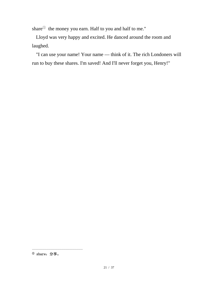share<sup>①</sup> the money you earn. Half to you and half to me."

Lloyd was very happy and excited. He danced around the room and laughed.

"I can use your name! Your name — think of it. The rich Londoners will run to buy these shares. I'm saved! And I'll never forget you, Henry!"

<sup>①</sup> share:分享。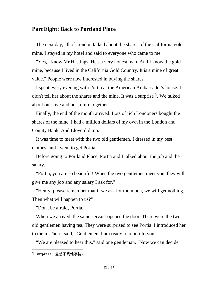#### <span id="page-21-0"></span>**Part Eight: Back to Portland Place**

The next day, all of London talked about the shares of the California gold mine. I stayed in my hotel and said to everyone who came to me.

"Yes, I know Mr Hastings. He's a very honest man. And I know the gold mine, because I lived in the California Gold Country. It is a mine of great value." People were now interested in buying the shares.

I spent every evening with Portia at the American Ambassador's house. I didn't tell her about the shares and the mine. It was a surprise<sup> $(1)$ </sup>. We talked about our love and our future together.

Finally, the end of the month arrived. Lots of rich Londoners bought the shares of the mine. I had a million dollars of my own in the London and County Bank. And Lloyd did too.

It was time to meet with the two old gentlemen. I dressed in my best clothes, and I went to get Portia.

Before going to Portland Place, Portia and I talked about the job and the salary.

"Portia, you are so beautiful! When the two gentlemen meet you, they will give me any job and any salary I ask for."

"Henry, please remember that if we ask for too much, we will get nothing. Then what will happen to us?"

"Don't be afraid, Portia."

When we arrived, the same servant opened the door. There were the two old gentlemen having tea. They were surprised to see Portia. I introduced her to them. Then I said, "Gentlemen, I am ready to report to you."

"We are pleased to hear this," said one gentleman. "Now we can decide

<sup>①</sup> surprise:意想不到地事情。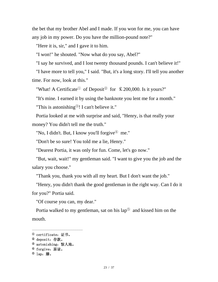the bet that my brother Abel and I made. If you won for me, you can have any job in my power. Do you have the million-pound note?"

"Here it is, sir," and I gave it to him.

"I won!" he shouted. "Now what do you say, Abel?"

"I say he survived, and I lost twenty thousand pounds. I can't believe it!"

"I have more to tell you," I said. "But, it's a long story. I'll tell you another time. For now, look at this."

"What! A Certificate<sup> $\odot$ </sup> of Deposit<sup> $\odot$ </sup> for £200,000. Is it yours?"

"It's mine. I earned it by using the banknote you lent me for a month." "This is astonishing<sup>3</sup>! I can't believe it."

Portia looked at me with surprise and said, "Henry, is that really your money? You didn't tell me the truth."

"No, I didn't. But, I know you'll forgive  $\Phi$  me."

"Don't be so sure! You told me a lie, Henry."

"Dearest Portia, it was only for fun. Come, let's go now."

"But, wait, wait!" my gentleman said. "I want to give you the job and the salary you choose."

"Thank you, thank you with all my heart. But I don't want the job."

"Henry, you didn't thank the good gentleman in the right way. Can I do it for you?" Portia said.

"Of course you can, my dear."

Portia walked to my gentleman, sat on his  $lap^{\circledR}$  and kissed him on the mouth.

 $^{\textcircled{\tiny{\text{0}}}}$  certificate: 证书。

<sup>②</sup> deposit:存款。

<sup>&</sup>lt;sup>3</sup> astonishing: 惊人地。

<sup>&</sup>lt;sup>4</sup> forgive: 原谅。

 $^{\circledR}$  lap: 膝。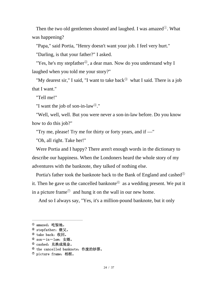Then the two old gentlemen shouted and laughed. I was amazed<sup>①</sup>. What was happening?

"Papa," said Portia, "Henry doesn't want your job. I feel very hurt."

"Darling, is that your father?" I asked.

"Yes, he's my stepfather<sup>2</sup>, a dear man. Now do you understand why I laughed when you told me your story?"

"My dearest sir," I said, "I want to take back<sup> $\circledcirc$ </sup> what I said. There is a job that I want."

"Tell me!"

"I want the job of son-in-law<sup>④</sup>."

"Well, well, well. But you were never a son-in-law before. Do you know how to do this job?"

"Try me, please! Try me for thirty or forty years, and if —"

"Oh, all right. Take her!"

Were Portia and I happy? There aren't enough words in the dictionary to describe our happiness. When the Londoners heard the whole story of my adventures with the banknote, they talked of nothing else.

Portia's father took the banknote back to the Bank of England and cashed<sup>⑤</sup> it. Then he gave us the cancelled banknote<sup> $\textcircled{\tiny{0}}$ </sup> as a wedding present. We put it in a picture frame $\sigma$  and hung it on the wall in our new home.

And so I always say, "Yes, it's a million-pound banknote, but it only

 $^{\text{\textregistered}}$  amazed: 吃惊地。

<sup>&</sup>lt;sup>2</sup> stepfather: 继父。

<sup>③</sup> take back:收回。

<sup>④</sup> son-in-law:女婿。

<sup>&</sup>lt;sup>5</sup> cashed: 兑换成现金。

<sup>⑥</sup> the cancelled banknote:作废的钞票。

 $<sup>①</sup>$  picture frame: 相框。</sup>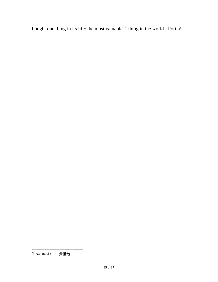bought one thing in its life: the most valuable<sup>①</sup> thing in the world - Portia!"

<sup>①</sup> valuable: 贵重地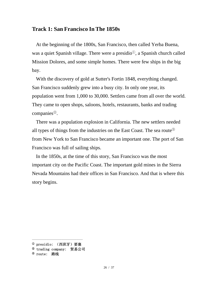#### <span id="page-25-0"></span>**Track 1: San Francisco In The 1850s**

At the beginning of the 1800s, San Francisco, then called Yerba Buena, was a quiet Spanish village. There were a presidio<sup>①</sup>, a Spanish church called Mission Dolores, and some simple homes. There were few ships in the big bay.

With the discovery of gold at Sutter's Fortin 1848, everything changed. San Francisco suddenly grew into a busy city. In only one year, its population went from 1,000 to 30,000. Settlers came from all over the world. They came to open shops, saloons, hotels, restaurants, banks and trading companies<sup>②</sup>.

There was a population explosion in California. The new settlers needed all types of things from the industries on the East Coast. The sea route<sup>③</sup> from New York to San Francisco became an important one. The port of San Francisco was full of sailing ships.

In the 1850s, at the time of this story, San Francisco was the most important city on the Pacific Coast. The important gold mines in the Sierra Nevada Mountains had their offices in San Francisco. And that is where this story begins.

<sup>&</sup>lt;sup>①</sup> presidio: (西班牙)要塞

<sup>②</sup> trading company: 贸易公司

<sup>③</sup> route: 路线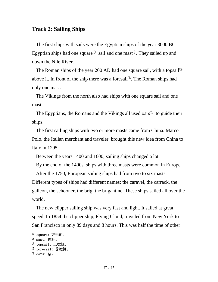#### <span id="page-26-0"></span>**Track 2: Sailing Ships**

The first ships with sails were the Egyptian ships of the year 3000 BC. Egyptian ships had one square<sup> $\odot$ </sup> sail and one mast<sup> $\odot$ </sup>. They sailed up and down the Nile River.

The Roman ships of the year 200 AD had one square sail, with a topsail<sup>③</sup> above it. In front of the ship there was a foresail<sup>④</sup>. The Roman ships had only one mast.

The Vikings from the north also had ships with one square sail and one mast.

The Egyptians, the Romans and the Vikings all used oars<sup> $(5)$ </sup> to guide their ships.

The first sailing ships with two or more masts came from China. Marco Polo, the Italian merchant and traveler, brought this new idea from China to Italy in 1295.

Between the years 1400 and 1600, sailing ships changed a lot.

By the end of the 1400s, ships with three masts were common in Europe.

After the 1750, European sailing ships had from two to six masts.

Different types of ships had different names: the caravel, the carrack, the galleon, the schooner, the brig, the brigantine. These ships sailed all over the world.

The new clipper sailing ship was very fast and light. It sailed at great speed. In 1854 the clipper ship, Flying Cloud, traveled from New York to San Francisco in only 89 days and 8 hours. This was half the time of other

<sup>①</sup> square: 方形的。

<sup>②</sup> mast: 桅杆。

<sup>③</sup> topsail: 上桅帆。

<sup>④</sup> foresail: 前桅帆。

 $^{\circledR}$  oars: 桨。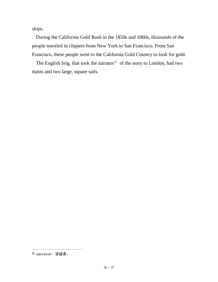ships.

During the California Gold Rush in the 1850s and 1860s, thousands of the people traveled in clippers from New York to San Francisco. From San Francisco, these people went to the California Gold Country to look for gold.

The English brig, that took the narrator<sup>①</sup> of the story to London, had two masts and two large, square sails.

<sup>①</sup> narrator: 讲述者。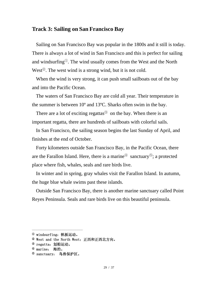#### <span id="page-28-0"></span>**Track 3: Sailing on San Francisco Bay**

Sailing on San Francisco Bay was popular in the 1800s and it still is today. There is always a lot of wind in San Francisco and this is perfect for sailing and windsurfing<sup>①</sup>. The wind usually comes from the West and the North West<sup> $\circled{2}$ </sup>. The west wind is a strong wind, but it is not cold.

When the wind is very strong, it can push small sailboats out of the bay and into the Pacific Ocean.

The waters of San Francisco Bay are cold all year. Their temperature in the summer is between 10º and 13ºC. Sharks often swim in the bay.

There are a lot of exciting regattas $\mathcal{S}$  on the bay. When there is an important regatta, there are hundreds of sailboats with colorful sails.

In San Francisco, the sailing season begins the last Sunday of April, and finishes at the end of October.

Forty kilometers outside San Francisco Bay, in the Pacific Ocean, there are the Farallon Island. Here, there is a marine $\Phi$  sanctuary $\Phi$ ; a protected place where fish, whales, seals and rare birds live.

In winter and in spring, gray whales visit the Farallon Island. In autumn, the huge blue whale swims past these islands.

Outside San Francisco Bay, there is another marine sanctuary called Point Reyes Peninsula. Seals and rare birds live on this beautiful peninsula.

<sup>①</sup> windsurfing:帆板运动。

<sup>&</sup>lt;sup>②</sup> West and the North West: 正西和正西北方向。

<sup>&</sup>lt;sup>3</sup> regatta: 划船运动。

<sup>④</sup> marine: 海的。

<sup>&</sup>lt;sup>5</sup> sanctuary: 鸟兽保护区。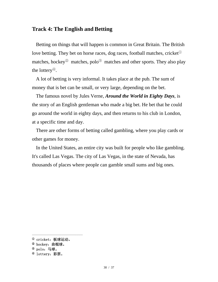## <span id="page-29-0"></span>**Track 4: The English and Betting**

Betting on things that will happen is common in Great Britain. The British love betting. They bet on horse races, dog races, football matches, cricket<sup>①</sup> matches, hockey<sup> $\circledcirc$ </sup> matches, polo<sup> $\circledcirc$ </sup> matches and other sports. They also play the lottery<sup>④</sup>.

A lot of betting is very informal. It takes place at the pub. The sum of money that is bet can be small, or very large, depending on the bet.

The famous novel by Jules Verne, *Around the World in Eighty Days*, is the story of an English gentleman who made a big bet. He bet that he could go around the world in eighty days, and then returns to his club in London, at a specific time and day.

There are other forms of betting called gambling, where you play cards or other games for money.

In the United States, an entire city was built for people who like gambling. It's called Las Vegas. The city of Las Vegas, in the state of Nevada, has thousands of places where people can gamble small sums and big ones.

 $^{\text{\textregistered}}$  cricket: 板球运动。

<sup>②</sup> hockey:曲棍球。

<sup>③</sup> polo:马球。

<sup>④</sup> lottery:彩票。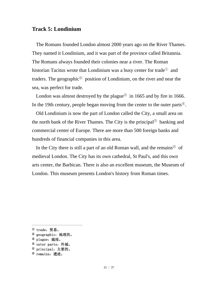#### <span id="page-30-0"></span>**Track 5: Londinium**

The Romans founded London almost 2000 years ago on the River Thames. They named it Londinium, and it was part of the province called Britannia. The Romans always founded their colonies near a river. The Roman historian Tacitus wrote that Londinium was a busy center for trade<sup>①</sup> and traders. The geographic<sup> $\circledcirc$ </sup> position of Londinium, on the river and near the sea, was perfect for trade.

London was almost destroyed by the plague<sup>3</sup> in 1665 and by fire in 1666. In the 19th century, people began moving from the center to the outer parts<sup>④</sup>.

Old Londinium is now the part of London called the City, a small area on the north bank of the River Thames. The City is the principal<sup>⑤</sup> banking and commercial center of Europe. There are more than 500 foreign banks and hundreds of financial companies in this area.

In the City there is still a part of an old Roman wall, and the remains<sup> $@$ </sup> of medieval London. The City has its own cathedral, St Paul's, and this own arts center, the Barbican. There is also an excellent museum, the Museum of London. This museum presents London's history from Roman times.

<sup>①</sup> trade:贸易。

<sup>&</sup>lt;sup>2</sup> geographic: 地理的。

<sup>&</sup>lt;sup>3</sup> plague: 瘟疫。

<sup>④</sup> outer parts:外城。

<sup>⑤</sup> principal:主要的。

<sup>&</sup>lt;sup>⑥</sup> remains: 溃迹。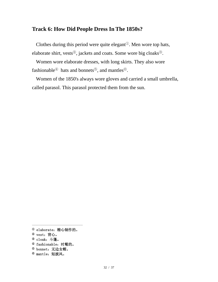# <span id="page-31-0"></span>**Track 6: How Did People Dress In The 1850s?**

Clothes during this period were quite elegant<sup>①</sup>. Men wore top hats, elaborate shirt, vests<sup>②</sup>, jackets and coats. Some wore big cloaks<sup>③</sup>.

Women wore elaborate dresses, with long skirts. They also wore fashionable<sup>40</sup> hats and bonnets<sup>5</sup>, and mantles<sup>69</sup>.

Women of the 1850's always wore gloves and carried a small umbrella, called parasol. This parasol protected them from the sun.

<sup>①</sup> elaborate:精心制作的。

<sup>②</sup> vest:背心。

<sup>③</sup> cloak:斗篷。

<sup>④</sup> fashionable:时髦的。

<sup>⑤</sup> bonnet:无边女帽。

<sup>&</sup>lt;sup>6</sup> mantle: 短披风。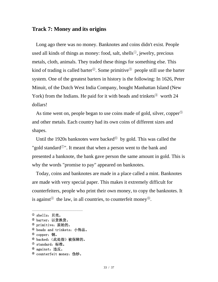## <span id="page-32-0"></span>**Track 7: Money and its origins**

Long ago there was no money. Banknotes and coins didn't exist. People used all kinds of things as money: food, salt, shells<sup>①</sup>, jewelry, precious metals, cloth, animals. They traded these things for something else. This kind of trading is called barter<sup>2</sup>. Some primitive<sup>3</sup> people still use the barter system. One of the greatest barters in history is the following: In 1626, Peter Minuit, of the Dutch West India Company, bought Manhattan Island (New York) from the Indians. He paid for it with beads and trinkets<sup> $\textcircled{4}$ </sup> worth 24 dollars!

As time went on, people began to use coins made of gold, silver, copper<sup>⑤</sup> and other metals. Each country had its own coins of different sizes and shapes.

Until the 1920s banknotes were backed<sup> $\textcircled{\tiny{6}}$ </sup> by gold. This was called the "gold standard $\mathbb{O}$ ". It meant that when a person went to the bank and presented a banknote, the bank gave person the same amount in gold. This is why the words "promise to pay" appeared on banknotes.

Today, coins and banknotes are made in a place called a mint. Banknotes are made with very special paper. This makes it extremely difficult for counterfeiters, people who print their own money, to copy the banknotes. It is against<sup> $\circledcirc$ </sup> the law, in all countries, to counterfeit money<sup> $\circledcirc$ </sup>.

- <sup>4</sup> beads and trinkets: 小饰品。
- $^{\circledR}$  copper: 铜。
- <sup>⑥</sup> backed:(此处指)被保障的。
- $^\circledR$  standard: 标准。
- <sup>⑧</sup> against:违反。
- <sup>⑨</sup> counterfeit money:伪钞。

 $^{\text{\textregistered}}$  shells: 贝壳。 <sup>2</sup> barter: 以货换货。

<sup>③</sup> primitive:原始的。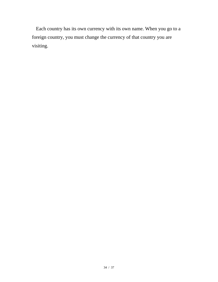Each country has its own currency with its own name. When you go to a foreign country, you must change the currency of that country you are visiting.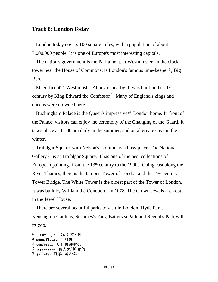#### <span id="page-34-0"></span>**Track 8: London Today**

London today covers 100 square miles, with a population of about 7,000,000 people. It is one of Europe's most interesting capitals.

The nation's government is the Parliament, at Westminster. In the clock tower near the House of Commons, is London's famous time-keeper<sup>①</sup>, Big Ben.

Magnificent<sup> $\circled{2}$ </sup> Westminster Abbey is nearby. It was built in the 11<sup>th</sup> century by King Edward the Confessor<sup>③</sup>. Many of England's kings and queens were crowned here.

Buckingham Palace is the Queen's impressive<sup>①</sup> London home. In front of the Palace, visitors can enjoy the ceremony of the Changing of the Guard. It takes place at 11:30 am daily in the summer, and on alternate days in the winter.

Trafalgar Square, with Nelson's Column, is a busy place. The National Gallery<sup> $\odot$ </sup> is at Trafalgar Square. It has one of the best collections of European paintings from the  $13<sup>th</sup>$  century to the 1900s. Going east along the River Thames, there is the famous Tower of London and the 19<sup>th</sup> century Tower Bridge. The White Tower is the oldest part of the Tower of London. It was built by William the Conqueror in 1078. The Crown Jewels are kept in the Jewel House.

There are several beautiful parks to visit in London: Hyde Park, Kensington Gardens, St James's Park, Battersea Park and Regent's Park with its zoo.

<sup>&</sup>lt;sup>①</sup> time-keeper: (此处指) 钟。

<sup>②</sup> magnificent:壮丽的。

<sup>③</sup> confessor:听忏悔的神父。

<sup>4</sup> impressive: 给人深刻印象的。

<sup>&</sup>lt;sup>5</sup> gallery: 画廊, 美术馆。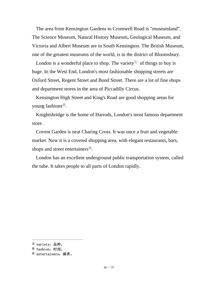The area from Kensington Gardens to Cromwell Road is "museumland". The Science Museum, Natural History Museum, Geological Museum, and Victoria and Albert Museum are in South Kensington. The British Museum, one of the greatest museums of the world, is in the district of Bloomsbury.

London is a wonderful place to shop. The variety  $\mathbb{D}$  of things to buy is huge. In the West End, London's most fashionable shopping streets are Oxford Street, Regent Street and Bond Street. There are a lot of fine shops and department stores in the area of Piccadilly Circus.

Kensington High Street and King's Road are good shopping areas for young fashions<sup>②</sup>.

Knightsbridge is the home of Harrods, London's most famous department store.

Covent Garden is neat Charing Cross. It was once a fruit and vegetable market. Now it is a covered shopping area, with elegant restaurants, bars, shops and street entertainers<sup>3</sup>.

London has an excellent underground public transportation system, called the tube. It takes people to all parts of London rapidly.

 $^{\textcircled{\tiny{\text{0}}}}$  variety: 品种。

<sup>&</sup>lt;sup>2</sup> fashion: 时尚。

<sup>③</sup> entertainers:演者。